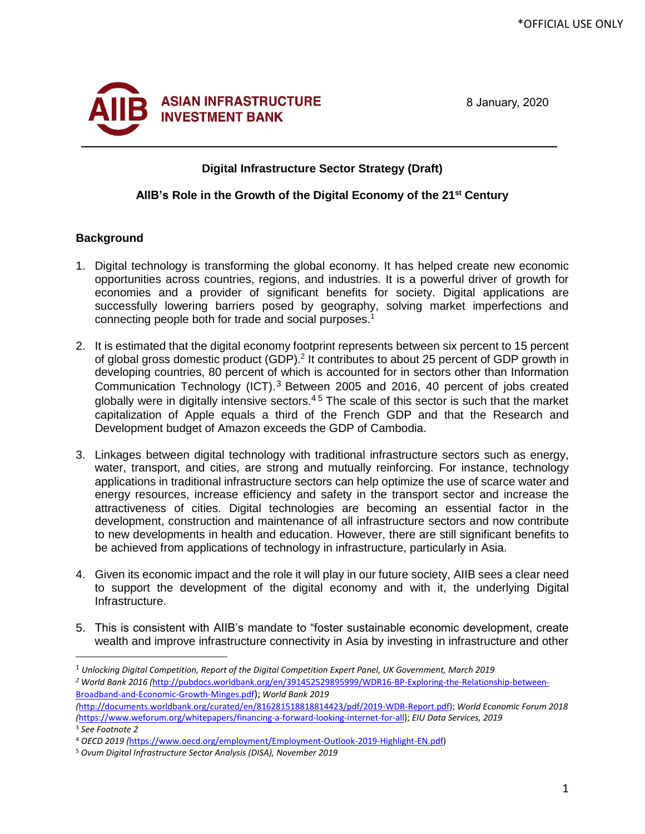**ASIAN INFRASTRUCTURE INVESTMENT BANK** 

8 January, 2020

## **Digital Infrastructure Sector Strategy (Draft)**

## **AIIB's Role in the Growth of the Digital Economy of the 21st Century**

## **Background**

- 1. Digital technology is transforming the global economy. It has helped create new economic opportunities across countries, regions, and industries. It is a powerful driver of growth for economies and a provider of significant benefits for society. Digital applications are successfully lowering barriers posed by geography, solving market imperfections and connecting people both for trade and social purposes.<sup>1</sup>
- 2. It is estimated that the digital economy footprint represents between six percent to 15 percent of global gross domestic product (GDP).<sup>2</sup> It contributes to about 25 percent of GDP growth in developing countries, 80 percent of which is accounted for in sectors other than Information Communication Technology (ICT).<sup>3</sup> Between 2005 and 2016, 40 percent of jobs created globally were in digitally intensive sectors.<sup>45</sup> The scale of this sector is such that the market capitalization of Apple equals a third of the French GDP and that the Research and Development budget of Amazon exceeds the GDP of Cambodia.
- 3. Linkages between digital technology with traditional infrastructure sectors such as energy, water, transport, and cities, are strong and mutually reinforcing. For instance, technology applications in traditional infrastructure sectors can help optimize the use of scarce water and energy resources, increase efficiency and safety in the transport sector and increase the attractiveness of cities. Digital technologies are becoming an essential factor in the development, construction and maintenance of all infrastructure sectors and now contribute to new developments in health and education. However, there are still significant benefits to be achieved from applications of technology in infrastructure, particularly in Asia.
- 4. Given its economic impact and the role it will play in our future society, AIIB sees a clear need to support the development of the digital economy and with it, the underlying Digital Infrastructure.
- 5. This is consistent with AIIB's mandate to "foster sustainable economic development, create wealth and improve infrastructure connectivity in Asia by investing in infrastructure and other

<sup>1</sup> *Unlocking Digital Competition, Report of the Digital Competition Expert Panel, UK Government, March 2019 <sup>2</sup> World Bank 2016 (*[http://pubdocs.worldbank.org/en/391452529895999/WDR16-BP-Exploring-the-Relationship-between-](http://pubdocs.worldbank.org/en/391452529895999/WDR16-BP-Exploring-the-Relationship-between-Broadband-and-Economic-Growth-Minges.pdf)[Broadband-and-Economic-Growth-Minges.pdf](http://pubdocs.worldbank.org/en/391452529895999/WDR16-BP-Exploring-the-Relationship-between-Broadband-and-Economic-Growth-Minges.pdf)); *World Bank 2019* 

*<sup>(</sup>*[http://documents.worldbank.org/curated/en/816281518818814423/pdf/2019-WDR-Report.pdf\)](http://documents.worldbank.org/curated/en/816281518818814423/pdf/2019-WDR-Report.pdf); *World Economic Forum 2018 (*[https://www.weforum.org/whitepapers/financing-a-forward-looking-internet-for-all\)](https://www.weforum.org/whitepapers/financing-a-forward-looking-internet-for-all); *EIU Data Services, 2019* <sup>3</sup> *See Footnote 2*

<sup>4</sup> *OECD 2019 (*[https://www.oecd.org/employment/Employment-Outlook-2019-Highlight-EN.pdf\)](https://www.oecd.org/employment/Employment-Outlook-2019-Highlight-EN.pdf)

<sup>5</sup> *Ovum Digital Infrastructure Sector Analysis (DISA), November 2019*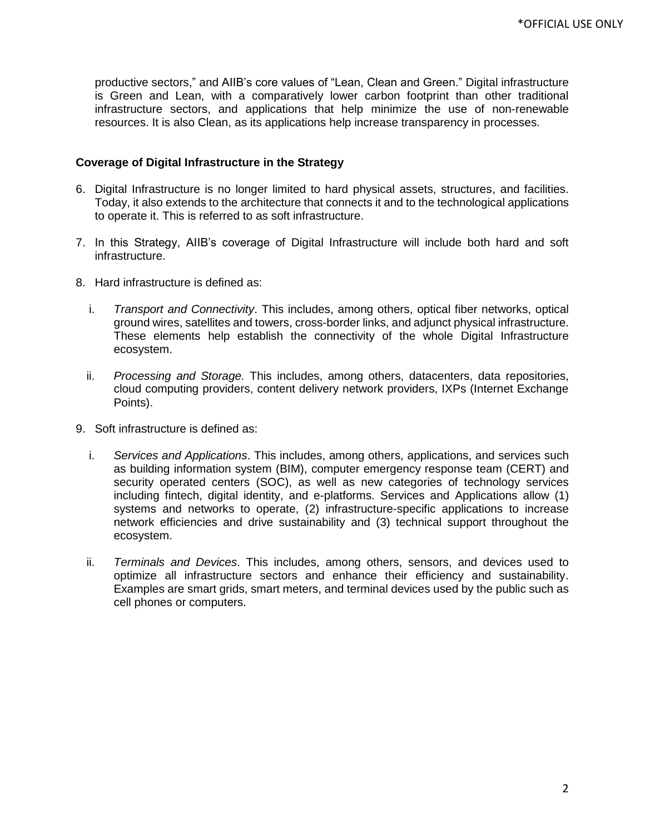productive sectors," and AIIB's core values of "Lean, Clean and Green." Digital infrastructure is Green and Lean, with a comparatively lower carbon footprint than other traditional infrastructure sectors, and applications that help minimize the use of non-renewable resources. It is also Clean, as its applications help increase transparency in processes.

## **Coverage of Digital Infrastructure in the Strategy**

- 6. Digital Infrastructure is no longer limited to hard physical assets, structures, and facilities. Today, it also extends to the architecture that connects it and to the technological applications to operate it. This is referred to as soft infrastructure.
- 7. In this Strategy, AIIB's coverage of Digital Infrastructure will include both hard and soft infrastructure.
- 8. Hard infrastructure is defined as:
	- i. *Transport and Connectivity*. This includes, among others, optical fiber networks, optical ground wires, satellites and towers, cross-border links, and adjunct physical infrastructure. These elements help establish the connectivity of the whole Digital Infrastructure ecosystem.
	- ii. *Processing and Storage.* This includes, among others, datacenters, data repositories, cloud computing providers, content delivery network providers, IXPs (Internet Exchange Points).
- 9. Soft infrastructure is defined as:
	- i. *Services and Applications*. This includes, among others, applications, and services such as building information system (BIM), computer emergency response team (CERT) and security operated centers (SOC), as well as new categories of technology services including fintech, digital identity, and e-platforms. Services and Applications allow (1) systems and networks to operate, (2) infrastructure-specific applications to increase network efficiencies and drive sustainability and (3) technical support throughout the ecosystem.
	- ii. *Terminals and Devices*. This includes, among others, sensors, and devices used to optimize all infrastructure sectors and enhance their efficiency and sustainability. Examples are smart grids, smart meters, and terminal devices used by the public such as cell phones or computers.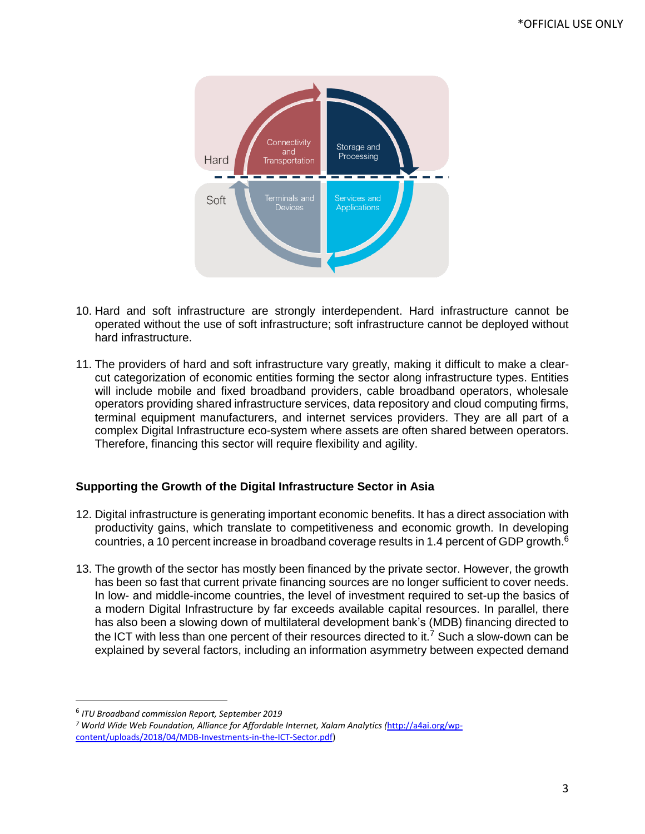

- 10. Hard and soft infrastructure are strongly interdependent. Hard infrastructure cannot be operated without the use of soft infrastructure; soft infrastructure cannot be deployed without hard infrastructure.
- 11. The providers of hard and soft infrastructure vary greatly, making it difficult to make a clearcut categorization of economic entities forming the sector along infrastructure types. Entities will include mobile and fixed broadband providers, cable broadband operators, wholesale operators providing shared infrastructure services, data repository and cloud computing firms, terminal equipment manufacturers, and internet services providers. They are all part of a complex Digital Infrastructure eco-system where assets are often shared between operators. Therefore, financing this sector will require flexibility and agility.

## **Supporting the Growth of the Digital Infrastructure Sector in Asia**

- 12. Digital infrastructure is generating important economic benefits. It has a direct association with productivity gains, which translate to competitiveness and economic growth. In developing countries, a 10 percent increase in broadband coverage results in 1.4 percent of GDP growth.<sup>6</sup>
- 13. The growth of the sector has mostly been financed by the private sector. However, the growth has been so fast that current private financing sources are no longer sufficient to cover needs. In low- and middle-income countries, the level of investment required to set-up the basics of a modern Digital Infrastructure by far exceeds available capital resources. In parallel, there has also been a slowing down of multilateral development bank's (MDB) financing directed to the ICT with less than one percent of their resources directed to it.<sup>7</sup> Such a slow-down can be explained by several factors, including an information asymmetry between expected demand

<sup>6</sup> *ITU Broadband commission Report, September 2019*

*<sup>7</sup> World Wide Web Foundation, Alliance for Affordable Internet, Xalam Analytics (*[http://a4ai.org/wp](http://a4ai.org/wp-content/uploads/2018/04/MDB-Investments-in-the-ICT-Sector.pdf)[content/uploads/2018/04/MDB-Investments-in-the-ICT-Sector.pdf\)](http://a4ai.org/wp-content/uploads/2018/04/MDB-Investments-in-the-ICT-Sector.pdf)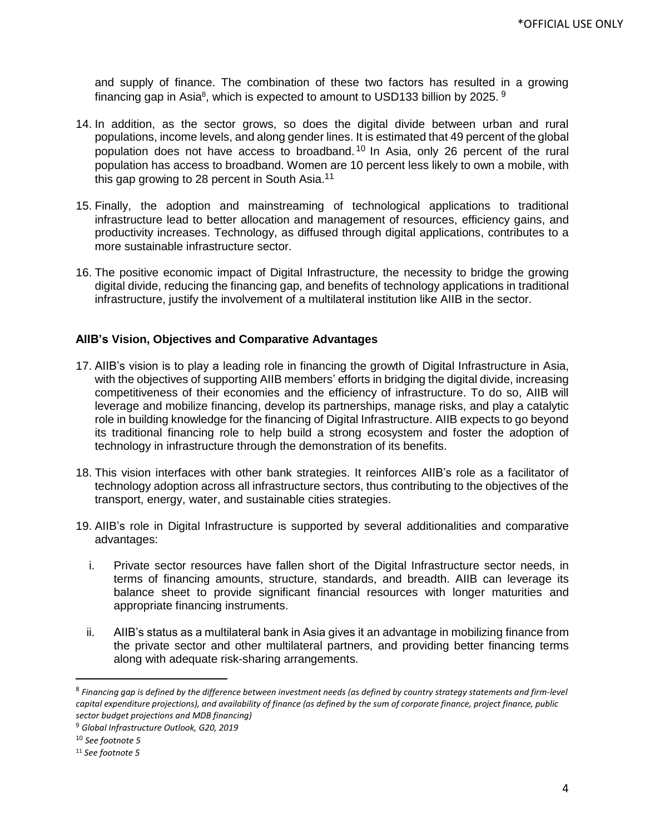and supply of finance. The combination of these two factors has resulted in a growing financing gap in Asia $^{\rm 8}$ , which is expected to amount to USD133 billion by 2025.  $^{\rm 9}$ 

- 14. In addition, as the sector grows, so does the digital divide between urban and rural populations, income levels, and along gender lines. It is estimated that 49 percent of the global population does not have access to broadband.<sup>10</sup> In Asia, only 26 percent of the rural population has access to broadband. Women are 10 percent less likely to own a mobile, with this gap growing to 28 percent in South Asia.<sup>11</sup>
- 15. Finally, the adoption and mainstreaming of technological applications to traditional infrastructure lead to better allocation and management of resources, efficiency gains, and productivity increases. Technology, as diffused through digital applications, contributes to a more sustainable infrastructure sector.
- 16. The positive economic impact of Digital Infrastructure, the necessity to bridge the growing digital divide, reducing the financing gap, and benefits of technology applications in traditional infrastructure, justify the involvement of a multilateral institution like AIIB in the sector.

#### **AIIB's Vision, Objectives and Comparative Advantages**

- 17. AIIB's vision is to play a leading role in financing the growth of Digital Infrastructure in Asia, with the objectives of supporting AIIB members' efforts in bridging the digital divide, increasing competitiveness of their economies and the efficiency of infrastructure. To do so, AIIB will leverage and mobilize financing, develop its partnerships, manage risks, and play a catalytic role in building knowledge for the financing of Digital Infrastructure. AIIB expects to go beyond its traditional financing role to help build a strong ecosystem and foster the adoption of technology in infrastructure through the demonstration of its benefits.
- 18. This vision interfaces with other bank strategies. It reinforces AIIB's role as a facilitator of technology adoption across all infrastructure sectors, thus contributing to the objectives of the transport, energy, water, and sustainable cities strategies.
- 19. AIIB's role in Digital Infrastructure is supported by several additionalities and comparative advantages:
	- i. Private sector resources have fallen short of the Digital Infrastructure sector needs, in terms of financing amounts, structure, standards, and breadth. AIIB can leverage its balance sheet to provide significant financial resources with longer maturities and appropriate financing instruments.
	- ii. AIIB's status as a multilateral bank in Asia gives it an advantage in mobilizing finance from the private sector and other multilateral partners, and providing better financing terms along with adequate risk-sharing arrangements.

<sup>8</sup> *Financing gap is defined by the difference between investment needs (as defined by country strategy statements and firm-level capital expenditure projections), and availability of finance (as defined by the sum of corporate finance, project finance, public sector budget projections and MDB financing)*

<sup>9</sup> *Global Infrastructure Outlook, G20, 2019*

<sup>10</sup> *See footnote 5*

<sup>11</sup> *See footnote 5*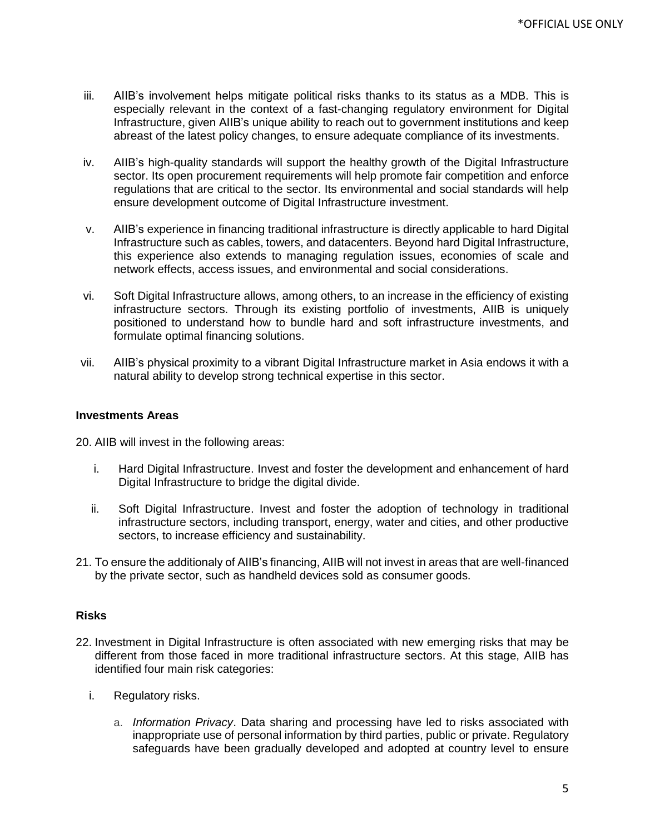- iii. AIIB's involvement helps mitigate political risks thanks to its status as a MDB. This is especially relevant in the context of a fast-changing regulatory environment for Digital Infrastructure, given AIIB's unique ability to reach out to government institutions and keep abreast of the latest policy changes, to ensure adequate compliance of its investments.
- iv. AIIB's high-quality standards will support the healthy growth of the Digital Infrastructure sector. Its open procurement requirements will help promote fair competition and enforce regulations that are critical to the sector. Its environmental and social standards will help ensure development outcome of Digital Infrastructure investment.
- v. AIIB's experience in financing traditional infrastructure is directly applicable to hard Digital Infrastructure such as cables, towers, and datacenters. Beyond hard Digital Infrastructure, this experience also extends to managing regulation issues, economies of scale and network effects, access issues, and environmental and social considerations.
- vi. Soft Digital Infrastructure allows, among others, to an increase in the efficiency of existing infrastructure sectors. Through its existing portfolio of investments, AIIB is uniquely positioned to understand how to bundle hard and soft infrastructure investments, and formulate optimal financing solutions.
- vii. AIIB's physical proximity to a vibrant Digital Infrastructure market in Asia endows it with a natural ability to develop strong technical expertise in this sector.

#### **Investments Areas**

20. AIIB will invest in the following areas:

- i. Hard Digital Infrastructure. Invest and foster the development and enhancement of hard Digital Infrastructure to bridge the digital divide.
- ii. Soft Digital Infrastructure. Invest and foster the adoption of technology in traditional infrastructure sectors, including transport, energy, water and cities, and other productive sectors, to increase efficiency and sustainability.
- 21. To ensure the additionaly of AIIB's financing, AIIB will not invest in areas that are well-financed by the private sector, such as handheld devices sold as consumer goods.

## **Risks**

- 22. Investment in Digital Infrastructure is often associated with new emerging risks that may be different from those faced in more traditional infrastructure sectors. At this stage, AIIB has identified four main risk categories:
	- i. Regulatory risks.
		- a. *Information Privacy*. Data sharing and processing have led to risks associated with inappropriate use of personal information by third parties, public or private. Regulatory safeguards have been gradually developed and adopted at country level to ensure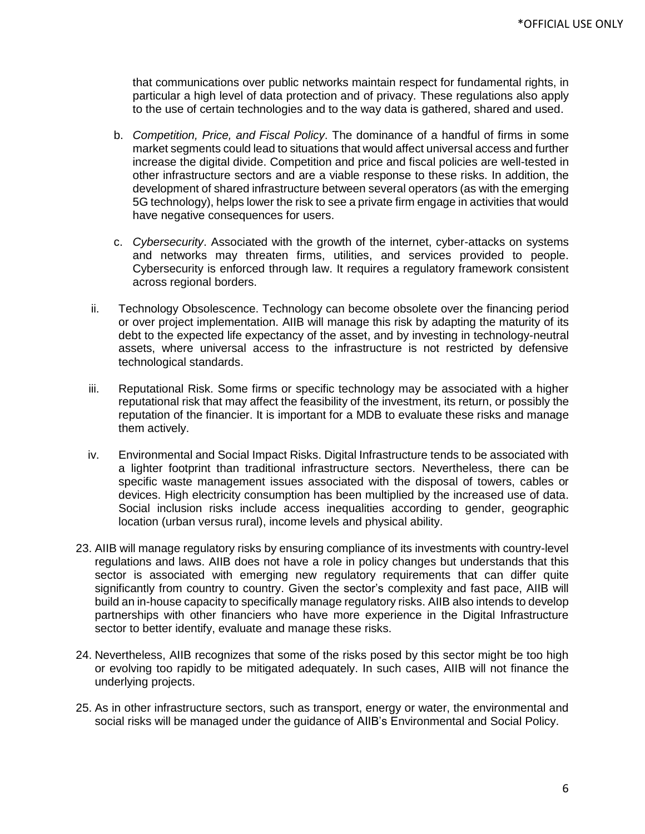that communications over public networks maintain respect for fundamental rights, in particular a high level of data protection and of privacy. These regulations also apply to the use of certain technologies and to the way data is gathered, shared and used.

- b. *Competition, Price, and Fiscal Policy*. The dominance of a handful of firms in some market segments could lead to situations that would affect universal access and further increase the digital divide. Competition and price and fiscal policies are well-tested in other infrastructure sectors and are a viable response to these risks. In addition, the development of shared infrastructure between several operators (as with the emerging 5G technology), helps lower the risk to see a private firm engage in activities that would have negative consequences for users.
- c. *Cybersecurity*. Associated with the growth of the internet, cyber-attacks on systems and networks may threaten firms, utilities, and services provided to people. Cybersecurity is enforced through law. It requires a regulatory framework consistent across regional borders.
- ii. Technology Obsolescence. Technology can become obsolete over the financing period or over project implementation. AIIB will manage this risk by adapting the maturity of its debt to the expected life expectancy of the asset, and by investing in technology-neutral assets, where universal access to the infrastructure is not restricted by defensive technological standards.
- iii. Reputational Risk. Some firms or specific technology may be associated with a higher reputational risk that may affect the feasibility of the investment, its return, or possibly the reputation of the financier. It is important for a MDB to evaluate these risks and manage them actively.
- iv. Environmental and Social Impact Risks. Digital Infrastructure tends to be associated with a lighter footprint than traditional infrastructure sectors. Nevertheless, there can be specific waste management issues associated with the disposal of towers, cables or devices. High electricity consumption has been multiplied by the increased use of data. Social inclusion risks include access inequalities according to gender, geographic location (urban versus rural), income levels and physical ability.
- 23. AIIB will manage regulatory risks by ensuring compliance of its investments with country-level regulations and laws. AIIB does not have a role in policy changes but understands that this sector is associated with emerging new regulatory requirements that can differ quite significantly from country to country. Given the sector's complexity and fast pace, AIIB will build an in-house capacity to specifically manage regulatory risks. AIIB also intends to develop partnerships with other financiers who have more experience in the Digital Infrastructure sector to better identify, evaluate and manage these risks.
- 24. Nevertheless, AIIB recognizes that some of the risks posed by this sector might be too high or evolving too rapidly to be mitigated adequately. In such cases, AIIB will not finance the underlying projects.
- 25. As in other infrastructure sectors, such as transport, energy or water, the environmental and social risks will be managed under the guidance of AIIB's Environmental and Social Policy.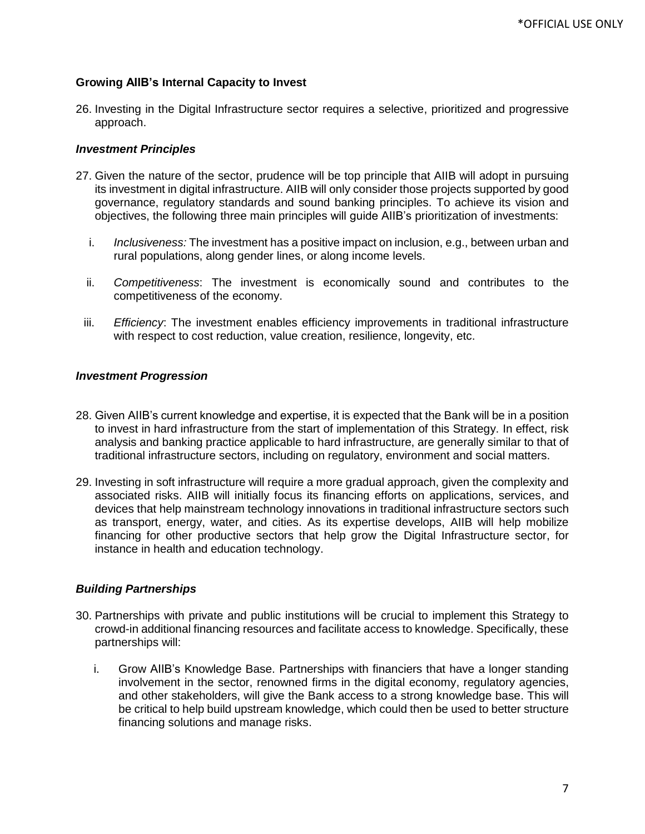## **Growing AIIB's Internal Capacity to Invest**

26. Investing in the Digital Infrastructure sector requires a selective, prioritized and progressive approach.

#### *Investment Principles*

- 27. Given the nature of the sector, prudence will be top principle that AIIB will adopt in pursuing its investment in digital infrastructure. AIIB will only consider those projects supported by good governance, regulatory standards and sound banking principles. To achieve its vision and objectives, the following three main principles will guide AIIB's prioritization of investments:
	- i. *Inclusiveness:* The investment has a positive impact on inclusion, e.g., between urban and rural populations, along gender lines, or along income levels.
	- ii. *Competitiveness*: The investment is economically sound and contributes to the competitiveness of the economy.
	- iii. *Efficiency*: The investment enables efficiency improvements in traditional infrastructure with respect to cost reduction, value creation, resilience, longevity, etc.

#### *Investment Progression*

- 28. Given AIIB's current knowledge and expertise, it is expected that the Bank will be in a position to invest in hard infrastructure from the start of implementation of this Strategy. In effect, risk analysis and banking practice applicable to hard infrastructure, are generally similar to that of traditional infrastructure sectors, including on regulatory, environment and social matters.
- 29. Investing in soft infrastructure will require a more gradual approach, given the complexity and associated risks. AIIB will initially focus its financing efforts on applications, services, and devices that help mainstream technology innovations in traditional infrastructure sectors such as transport, energy, water, and cities. As its expertise develops, AIIB will help mobilize financing for other productive sectors that help grow the Digital Infrastructure sector, for instance in health and education technology.

#### *Building Partnerships*

- 30. Partnerships with private and public institutions will be crucial to implement this Strategy to crowd-in additional financing resources and facilitate access to knowledge. Specifically, these partnerships will:
	- i. Grow AIIB's Knowledge Base. Partnerships with financiers that have a longer standing involvement in the sector, renowned firms in the digital economy, regulatory agencies, and other stakeholders, will give the Bank access to a strong knowledge base. This will be critical to help build upstream knowledge, which could then be used to better structure financing solutions and manage risks.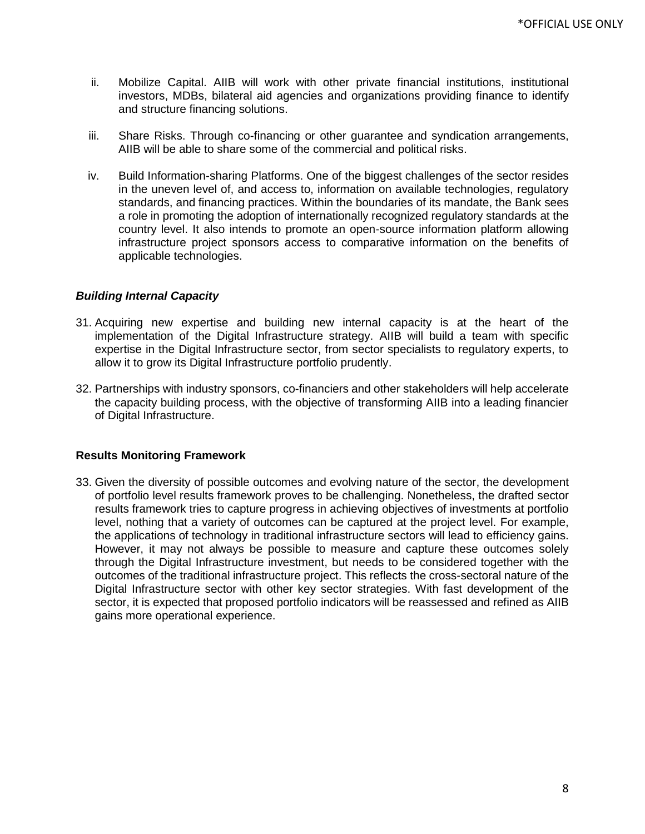- ii. Mobilize Capital. AIIB will work with other private financial institutions, institutional investors, MDBs, bilateral aid agencies and organizations providing finance to identify and structure financing solutions.
- iii. Share Risks. Through co-financing or other guarantee and syndication arrangements, AIIB will be able to share some of the commercial and political risks.
- iv. Build Information-sharing Platforms. One of the biggest challenges of the sector resides in the uneven level of, and access to, information on available technologies, regulatory standards, and financing practices. Within the boundaries of its mandate, the Bank sees a role in promoting the adoption of internationally recognized regulatory standards at the country level. It also intends to promote an open-source information platform allowing infrastructure project sponsors access to comparative information on the benefits of applicable technologies.

#### *Building Internal Capacity*

- 31. Acquiring new expertise and building new internal capacity is at the heart of the implementation of the Digital Infrastructure strategy. AIIB will build a team with specific expertise in the Digital Infrastructure sector, from sector specialists to regulatory experts, to allow it to grow its Digital Infrastructure portfolio prudently.
- 32. Partnerships with industry sponsors, co-financiers and other stakeholders will help accelerate the capacity building process, with the objective of transforming AIIB into a leading financier of Digital Infrastructure.

#### **Results Monitoring Framework**

33. Given the diversity of possible outcomes and evolving nature of the sector, the development of portfolio level results framework proves to be challenging. Nonetheless, the drafted sector results framework tries to capture progress in achieving objectives of investments at portfolio level, nothing that a variety of outcomes can be captured at the project level. For example, the applications of technology in traditional infrastructure sectors will lead to efficiency gains. However, it may not always be possible to measure and capture these outcomes solely through the Digital Infrastructure investment, but needs to be considered together with the outcomes of the traditional infrastructure project. This reflects the cross-sectoral nature of the Digital Infrastructure sector with other key sector strategies. With fast development of the sector, it is expected that proposed portfolio indicators will be reassessed and refined as AIIB gains more operational experience.